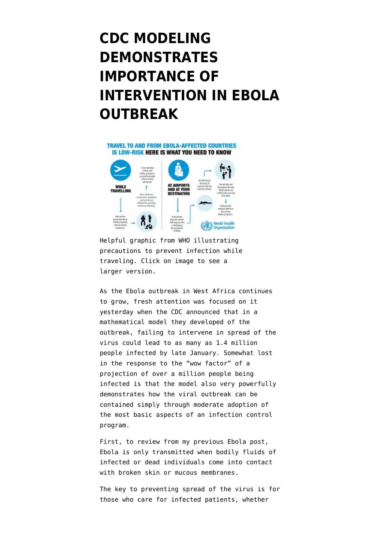## **[CDC MODELING](https://www.emptywheel.net/2014/09/24/cdc-modeling-demonstrates-importance-of-intervention-in-ebola-outbreak/) [DEMONSTRATES](https://www.emptywheel.net/2014/09/24/cdc-modeling-demonstrates-importance-of-intervention-in-ebola-outbreak/) [IMPORTANCE OF](https://www.emptywheel.net/2014/09/24/cdc-modeling-demonstrates-importance-of-intervention-in-ebola-outbreak/) [INTERVENTION IN EBOLA](https://www.emptywheel.net/2014/09/24/cdc-modeling-demonstrates-importance-of-intervention-in-ebola-outbreak/) [OUTBREAK](https://www.emptywheel.net/2014/09/24/cdc-modeling-demonstrates-importance-of-intervention-in-ebola-outbreak/)**



Helpful graphic from WHO illustrating precautions to prevent infection while traveling. Click on image to see a larger version.

As the Ebola outbreak in West Africa continues to grow, [fresh attention](http://www.nytimes.com/2014/09/24/health/ebola-cases-could-reach-14-million-in-4-months-cdc-estimates.html) was focused on it yesterday when the CDC announced that in a [mathematical model](http://www.cdc.gov/mmwr/preview/mmwrhtml/su63e0923a1.htm) they developed of the outbreak, failing to intervene in spread of the virus could lead to as many as 1.4 million people infected by late January. Somewhat lost in the response to the "wow factor" of a projection of over a million people being infected is that the model also very powerfully demonstrates how the viral outbreak can be contained simply through moderate adoption of the most basic aspects of an infection control program.

First, to review from my [previous Ebola post](http://www.emptywheel.net/2014/08/01/no-we-arent-all-going-to-die-because-ebola-patients-are-coming-to-us-for-treatment/), Ebola is [only transmitted](http://www.who.int/mediacentre/factsheets/fs103/en/) when bodily fluids of infected or dead individuals come into contact with broken skin or mucous membranes.

The key to preventing spread of the virus is for those who care for infected patients, whether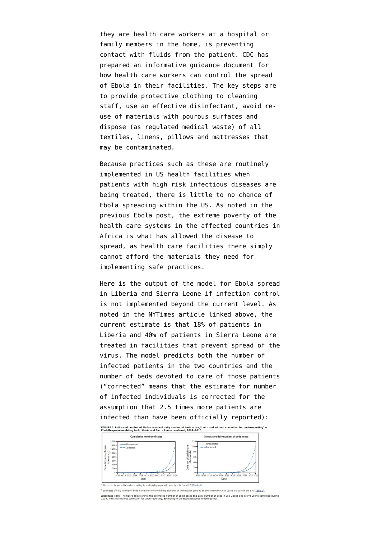they are health care workers at a hospital or family members in the home, is preventing contact with fluids from the patient. CDC has prepared an [informative guidance document](http://www.cdc.gov/vhf/ebola/hcp/environmental-infection-control-in-hospitals.html) for how health care workers can control the spread of Ebola in their facilities. The key steps are to provide protective clothing to cleaning staff, use an effective disinfectant, avoid reuse of materials with pourous surfaces and dispose (as regulated medical waste) of all textiles, linens, pillows and mattresses that may be contaminated.

Because practices such as these are routinely implemented in US health facilities when patients with high risk infectious diseases are being treated, there is little to no chance of Ebola spreading within the US. As noted in the previous Ebola post, the extreme poverty of the health care systems in the affected countries in Africa is what has allowed the disease to spread, as health care facilities there simply cannot afford the materials they need for implementing safe practices.

Here is the output of the model for Ebola spread in Liberia and Sierra Leone if infection control is not implemented beyond the current level. As noted in the NYTimes article linked above, the current estimate is that 18% of patients in Liberia and 40% of patients in Sierra Leone are treated in facilities that prevent spread of the virus. The model predicts both the number of infected patients in the two countries and the number of beds devoted to care of those patients ("corrected" means that the estimate for number of infected individuals is corrected for the assumption that 2.5 times more patients are infected than have been officially reported):



iplying reported cases by a factor of 2.5 (Table 4)

ent unit (ETU) and days in the ETU (Table 3).

Alternate Text: The figure above shows the estimated number of Ebola cases and daily number of beds in use Liberia and Sierra Leone combined dur<br>2014, with and without correction for underreporting, according to the EbolaR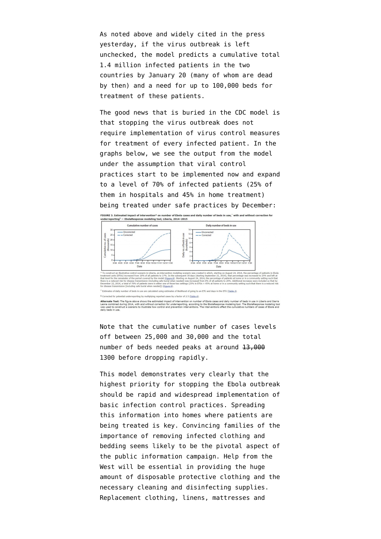As noted above and widely cited in the press yesterday, if the virus outbreak is left unchecked, the model predicts a cumulative total 1.4 million infected patients in the two countries by January 20 (many of whom are dead by then) and a need for up to 100,000 beds for treatment of these patients.

The good news that is buried in the CDC model is that stopping the virus outbreak does not require implementation of virus control measures for treatment of every infected patient. In the graphs below, we see the output from the model under the assumption that viral control practices start to be implemented now and expand to a level of 70% of infected patients (25% of them in hospitals and 45% in home treatment) being treated under safe practices by December:



Note that the cumulative number of cases levels off between 25,000 and 30,000 and the total number of beds needed peaks at around 13,000 1300 before dropping rapidly.

This model demonstrates very clearly that the highest priority for stopping the Ebola outbreak should be rapid and widespread implementation of basic infection control practices. Spreading this information into homes where patients are being treated is key. Convincing families of the importance of removing infected clothing and bedding seems likely to be the pivotal aspect of the public information campaign. Help from the West will be essential in providing the huge amount of disposable protective clothing and the necessary cleaning and disinfecting supplies. Replacement clothing, linens, mattresses and